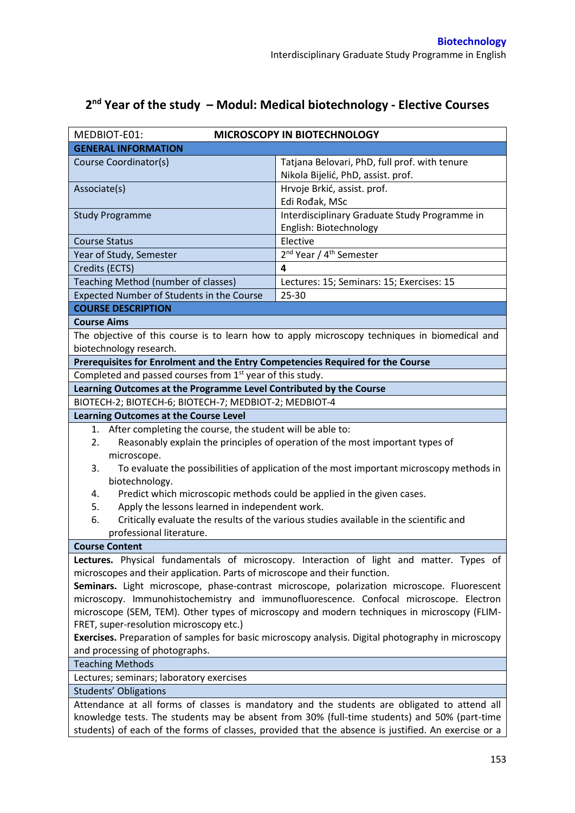## **2 nd Year of the study – Modul: Medical biotechnology - Elective Courses**

| MEDBIOT-E01:<br>MICROSCOPY IN BIOTECHNOLOGY                                                                                                                                           |                                                                                               |  |  |  |
|---------------------------------------------------------------------------------------------------------------------------------------------------------------------------------------|-----------------------------------------------------------------------------------------------|--|--|--|
| <b>GENERAL INFORMATION</b>                                                                                                                                                            |                                                                                               |  |  |  |
| Course Coordinator(s)                                                                                                                                                                 | Tatjana Belovari, PhD, full prof. with tenure                                                 |  |  |  |
|                                                                                                                                                                                       | Nikola Bijelić, PhD, assist. prof.                                                            |  |  |  |
| Associate(s)                                                                                                                                                                          | Hrvoje Brkić, assist. prof.                                                                   |  |  |  |
|                                                                                                                                                                                       | Edi Rođak, MSc                                                                                |  |  |  |
| <b>Study Programme</b>                                                                                                                                                                | Interdisciplinary Graduate Study Programme in                                                 |  |  |  |
|                                                                                                                                                                                       | English: Biotechnology                                                                        |  |  |  |
| <b>Course Status</b>                                                                                                                                                                  | Elective                                                                                      |  |  |  |
| Year of Study, Semester                                                                                                                                                               | 2 <sup>nd</sup> Year / 4 <sup>th</sup> Semester                                               |  |  |  |
| Credits (ECTS)                                                                                                                                                                        | 4                                                                                             |  |  |  |
| Teaching Method (number of classes)                                                                                                                                                   | Lectures: 15; Seminars: 15; Exercises: 15                                                     |  |  |  |
| Expected Number of Students in the Course                                                                                                                                             | 25-30                                                                                         |  |  |  |
| <b>COURSE DESCRIPTION</b>                                                                                                                                                             |                                                                                               |  |  |  |
| <b>Course Aims</b>                                                                                                                                                                    |                                                                                               |  |  |  |
|                                                                                                                                                                                       | The objective of this course is to learn how to apply microscopy techniques in biomedical and |  |  |  |
| biotechnology research.                                                                                                                                                               |                                                                                               |  |  |  |
| Prerequisites for Enrolment and the Entry Competencies Required for the Course                                                                                                        |                                                                                               |  |  |  |
| Completed and passed courses from 1 <sup>st</sup> year of this study.                                                                                                                 |                                                                                               |  |  |  |
| Learning Outcomes at the Programme Level Contributed by the Course                                                                                                                    |                                                                                               |  |  |  |
| BIOTECH-2; BIOTECH-6; BIOTECH-7; MEDBIOT-2; MEDBIOT-4                                                                                                                                 |                                                                                               |  |  |  |
| <b>Learning Outcomes at the Course Level</b>                                                                                                                                          |                                                                                               |  |  |  |
| After completing the course, the student will be able to:<br>1.                                                                                                                       |                                                                                               |  |  |  |
| 2.                                                                                                                                                                                    | Reasonably explain the principles of operation of the most important types of                 |  |  |  |
| microscope.                                                                                                                                                                           |                                                                                               |  |  |  |
| To evaluate the possibilities of application of the most important microscopy methods in<br>3.                                                                                        |                                                                                               |  |  |  |
| biotechnology.                                                                                                                                                                        |                                                                                               |  |  |  |
| Predict which microscopic methods could be applied in the given cases.<br>4.                                                                                                          |                                                                                               |  |  |  |
| Apply the lessons learned in independent work.<br>5.                                                                                                                                  |                                                                                               |  |  |  |
| 6.                                                                                                                                                                                    | Critically evaluate the results of the various studies available in the scientific and        |  |  |  |
| professional literature.                                                                                                                                                              |                                                                                               |  |  |  |
| <b>Course Content</b>                                                                                                                                                                 |                                                                                               |  |  |  |
|                                                                                                                                                                                       | Lectures. Physical fundamentals of microscopy. Interaction of light and matter. Types of      |  |  |  |
| microscopes and their application. Parts of microscope and their function.                                                                                                            |                                                                                               |  |  |  |
| Seminars. Light microscope, phase-contrast microscope, polarization microscope. Fluorescent<br>microscopy. Immunohistochemistry and immunofluorescence. Confocal microscope. Electron |                                                                                               |  |  |  |
| microscope (SEM, TEM). Other types of microscopy and modern techniques in microscopy (FLIM-                                                                                           |                                                                                               |  |  |  |
| FRET, super-resolution microscopy etc.)                                                                                                                                               |                                                                                               |  |  |  |
| Exercises. Preparation of samples for basic microscopy analysis. Digital photography in microscopy                                                                                    |                                                                                               |  |  |  |
| and processing of photographs.                                                                                                                                                        |                                                                                               |  |  |  |
| <b>Teaching Methods</b>                                                                                                                                                               |                                                                                               |  |  |  |
| Lectures; seminars; laboratory exercises                                                                                                                                              |                                                                                               |  |  |  |
| <b>Students' Obligations</b>                                                                                                                                                          |                                                                                               |  |  |  |
| Attendance at all forms of classes is mandatory and the students are obligated to attend all                                                                                          |                                                                                               |  |  |  |
|                                                                                                                                                                                       | knowledge tests. The students may be absent from 30% (full-time students) and 50% (part-time  |  |  |  |
| students) of each of the forms of classes, provided that the absence is justified. An exercise or a                                                                                   |                                                                                               |  |  |  |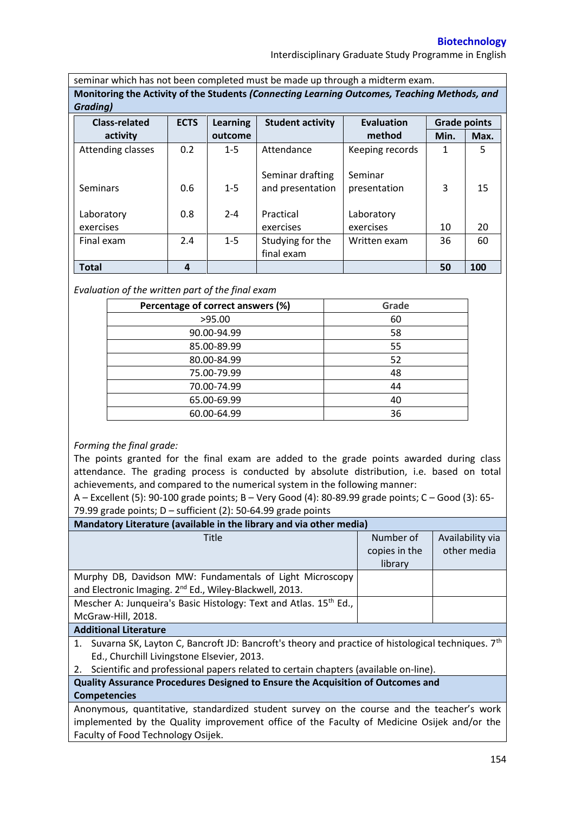## **Biotechnology**

Interdisciplinary Graduate Study Programme in English

seminar which has not been completed must be made up through a midterm exam. **Monitoring the Activity of the Students** *(Connecting Learning Outcomes, Teaching Methods, and Grading)*

| <u>uruunul</u>       |             |                 |                         |                   |                     |      |
|----------------------|-------------|-----------------|-------------------------|-------------------|---------------------|------|
| <b>Class-related</b> | <b>ECTS</b> | <b>Learning</b> | <b>Student activity</b> | <b>Evaluation</b> | <b>Grade points</b> |      |
| activity             |             | outcome         |                         | method            | Min.                | Max. |
| Attending classes    | 0.2         | $1 - 5$         | Attendance              | Keeping records   | 1                   | 5    |
|                      |             |                 |                         |                   |                     |      |
|                      |             |                 | Seminar drafting        | Seminar           |                     |      |
| Seminars             | 0.6         | $1 - 5$         | and presentation        | presentation      | 3                   | 15   |
|                      |             |                 |                         |                   |                     |      |
| Laboratory           | 0.8         | $2 - 4$         | Practical               | Laboratory        |                     |      |
| exercises            |             |                 | exercises               | exercises         | 10                  | 20   |
| Final exam           | 2.4         | $1 - 5$         | Studying for the        | Written exam      | 36                  | 60   |
|                      |             |                 | final exam              |                   |                     |      |
| <b>Total</b>         | 4           |                 |                         |                   | 50                  | 100  |

*Evaluation of the written part of the final exam*

| Percentage of correct answers (%) | Grade |
|-----------------------------------|-------|
| >95.00                            | 60    |
| 90.00-94.99                       | 58    |
| 85.00-89.99                       | 55    |
| 80.00-84.99                       | 52    |
| 75.00-79.99                       | 48    |
| 70.00-74.99                       | 44    |
| 65.00-69.99                       | 40    |
| 60.00-64.99                       | 36    |

## *Forming the final grade:*

The points granted for the final exam are added to the grade points awarded during class attendance. The grading process is conducted by absolute distribution, i.e. based on total achievements, and compared to the numerical system in the following manner:

A – Excellent (5): 90-100 grade points; B – Very Good (4): 80-89.99 grade points; C – Good (3): 65- 79.99 grade points;  $D$  – sufficient (2): 50-64.99 grade points

| Mandatory Literature (available in the library and via other media) |               |                  |  |  |  |  |
|---------------------------------------------------------------------|---------------|------------------|--|--|--|--|
| <b>Title</b>                                                        | Number of     | Availability via |  |  |  |  |
|                                                                     | copies in the | other media      |  |  |  |  |
|                                                                     | library       |                  |  |  |  |  |
| Murphy DB, Davidson MW: Fundamentals of Light Microscopy            |               |                  |  |  |  |  |
| and Electronic Imaging. 2 <sup>nd</sup> Ed., Wiley-Blackwell, 2013. |               |                  |  |  |  |  |
| Mescher A: Junqueira's Basic Histology: Text and Atlas. 15th Ed.,   |               |                  |  |  |  |  |
| McGraw-Hill, 2018.                                                  |               |                  |  |  |  |  |
|                                                                     |               |                  |  |  |  |  |

## **Additional Literature**

1. Suvarna SK, Layton C, Bancroft JD: Bancroft's theory and practice of histological techniques. 7<sup>th</sup> Ed., Churchill Livingstone Elsevier, 2013.

2. Scientific and professional papers related to certain chapters (available on-line).

**Quality Assurance Procedures Designed to Ensure the Acquisition of Outcomes and Competencies**

Anonymous, quantitative, standardized student survey on the course and the teacher's work implemented by the Quality improvement office of the Faculty of Medicine Osijek and/or the Faculty of Food Technology Osijek.